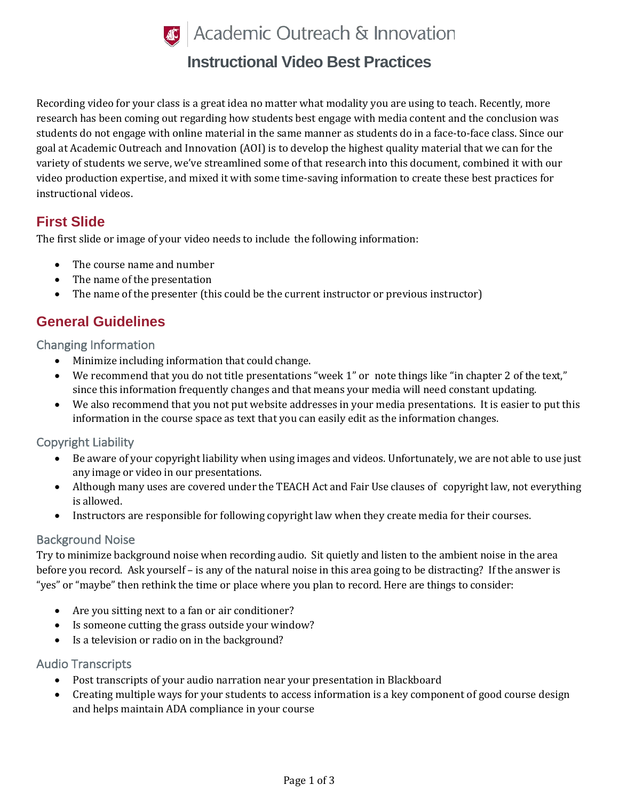

# **Instructional Video Best Practices**

Recording video for your class is a great idea no matter what modality you are using to teach. Recently, more research has been coming out regarding how students best engage with media content and the conclusion was students do not engage with online material in the same manner as students do in a face-to-face class. Since our goal at Academic Outreach and Innovation (AOI) is to develop the highest quality material that we can for the variety of students we serve, we've streamlined some of that research into this document, combined it with our video production expertise, and mixed it with some time-saving information to create these best practices for instructional videos.

## **First Slide**

The first slide or image of your video needs to include the following information:

- The course name and number
- The name of the presentation
- The name of the presenter (this could be the current instructor or previous instructor)

## **General Guidelines**

Changing Information

- Minimize including information that could change.
- We recommend that you do not title presentations "week 1" or note things like "in chapter 2 of the text," since this information frequently changes and that means your media will need constant updating.
- We also recommend that you not put website addresses in your media presentations. It is easier to put this information in the course space as text that you can easily edit as the information changes.

#### Copyright Liability

- Be aware of your copyright liability when using images and videos. Unfortunately, we are not able to use just any image or video in our presentations.
- Although many uses are covered under the TEACH Act and Fair Use clauses of copyright law, not everything is allowed.
- Instructors are responsible for following copyright law when they create media for their courses.

#### Background Noise

Try to minimize background noise when recording audio. Sit quietly and listen to the ambient noise in the area before you record. Ask yourself – is any of the natural noise in this area going to be distracting? If the answer is "yes" or "maybe" then rethink the time or place where you plan to record. Here are things to consider:

- Are you sitting next to a fan or air conditioner?
- Is someone cutting the grass outside your window?
- Is a television or radio on in the background?

#### Audio Transcripts

- Post transcripts of your audio narration near your presentation in Blackboard
- Creating multiple ways for your students to access information is a key component of good course design and helps maintain ADA compliance in your course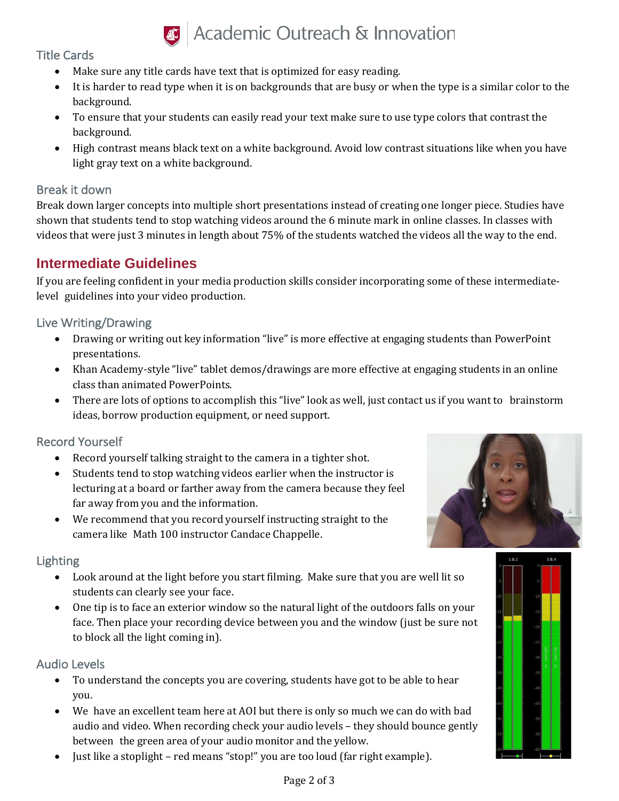

# *S* Academic Outreach & Innovation

#### Title Cards

- Make sure any title cards have text that is optimized for easy reading.
- It is harder to read type when it is on backgrounds that are busy or when the type is a similar color to the background.
- To ensure that your students can easily read your text make sure to use type colors that contrast the background.
- High contrast means black text on a white background. Avoid low contrast situations like when you have light gray text on a white background.

#### Break it down

Break down larger concepts into multiple short presentations instead of creating one longer piece. Studies have shown that students tend to stop watching videos around the 6 minute mark in online classes. In classes with videos that were just 3 minutes in length about 75% of the students watched the videos all the way to the end.

# **Intermediate Guidelines**

If you are feeling confident in your media production skills consider incorporating some of these intermediatelevel guidelines into your video production.

## Live Writing/Drawing

- Drawing or writing out key information "live" is more effective at engaging students than PowerPoint presentations.
- Khan Academy-style "live" tablet demos/drawings are more effective at engaging students in an online class than animated PowerPoints.
- There are lots of options to accomplish this "live" look as well, just contact us if you want to brainstorm ideas, borrow production equipment, or need support.

## Record Yourself

- Record yourself talking straight to the camera in a tighter shot.
- Students tend to stop watching videos earlier when the instructor is lecturing at a board or farther away from the camera because they feel far away from you and the information.
- We recommend that you record yourself instructing straight to the camera like Math 100 instructor Candace Chappelle.

#### Lighting

- Look around at the light before you start filming. Make sure that you are well lit so students can clearly see your face.
- One tip is to face an exterior window so the natural light of the outdoors falls on your face. Then place your recording device between you and the window (just be sure not to block all the light coming in).

## Audio Levels

- To understand the concepts you are covering, students have got to be able to hear you.
- We have an excellent team here at AOI but there is only so much we can do with bad audio and video. When recording check your audio levels – they should bounce gently between the green area of your audio monitor and the yellow.
- Just like a stoplight red means "stop!" you are too loud (far right example).